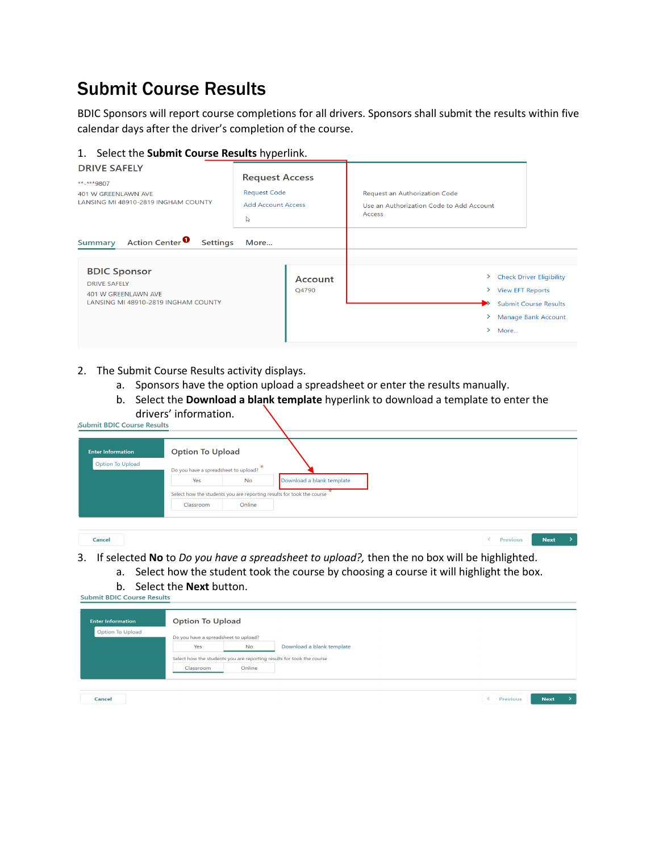## Submit Course Results

BDIC Sponsors will report course completions for all drivers. Sponsors shall submit the results within five calendar days after the driver's completion of the course.

## 1. Select the **Submit Course Results** hyperlink.

| <b>DRIVE SAFELY</b><br>**-***9807<br>401 W GREENLAWN AVE<br>LANSING MI 48910-2819 INGHAM COUNTY                                                                             | <b>Request Access</b><br><b>Request Code</b><br><b>Add Account Access</b><br>↳ | Request an Authorization Code<br>Use an Authorization Code to Add Account<br>Access                                                                                   |
|-----------------------------------------------------------------------------------------------------------------------------------------------------------------------------|--------------------------------------------------------------------------------|-----------------------------------------------------------------------------------------------------------------------------------------------------------------------|
| Action Center <sup>0</sup><br><b>Settings</b><br><b>Summary</b><br><b>BDIC Sponsor</b><br><b>DRIVE SAFELY</b><br>401 W GREENLAWN AVE<br>LANSING MI 48910-2819 INGHAM COUNTY | More<br>Account<br>Q4790                                                       | <b>Check Driver Eligibility</b><br>≻<br><b>View EFT Reports</b><br>≻<br>$\rightarrow$<br><b>Submit Course Results</b><br><b>Manage Bank Account</b><br>⋗<br>≻<br>More |

- 2. The Submit Course Results activity displays.
	- a. Sponsors have the option upload a spreadsheet or enter the results manually.
	- b. Select the **Download a blank template** hyperlink to download a template to enter the drivers' information.

| <b>Submit BDIC Course Results</b> |  |  |
|-----------------------------------|--|--|
|                                   |  |  |

| <b>Enter Information</b> | <b>Option To Upload</b>              |           |                                                                       |
|--------------------------|--------------------------------------|-----------|-----------------------------------------------------------------------|
| <b>Option To Upload</b>  | Do you have a spreadsheet to upload? |           |                                                                       |
|                          | Yes                                  | <b>No</b> | Download a blank template                                             |
|                          |                                      |           | Select how the students you are reporting results for took the course |
|                          | Classroom                            | Online    |                                                                       |
|                          |                                      |           |                                                                       |

## Cancel

3. If selected **No** to *Do you have a spreadsheet to upload?,* then the no box will be highlighted.

< Previous Next >

- a. Select how the student took the course by choosing a course it will highlight the box.
- **b.** Select the **Next** button.<br>Submit BDIC Course Results

| <b>Enter Information</b> | <b>Option To Upload</b>              |        |                                                                       |  |
|--------------------------|--------------------------------------|--------|-----------------------------------------------------------------------|--|
| Option To Upload         | Do you have a spreadsheet to upload? |        |                                                                       |  |
|                          | Yes                                  | No     | Download a blank template                                             |  |
|                          |                                      |        | Select how the students you are reporting results for took the course |  |
|                          | Classroom                            | Online |                                                                       |  |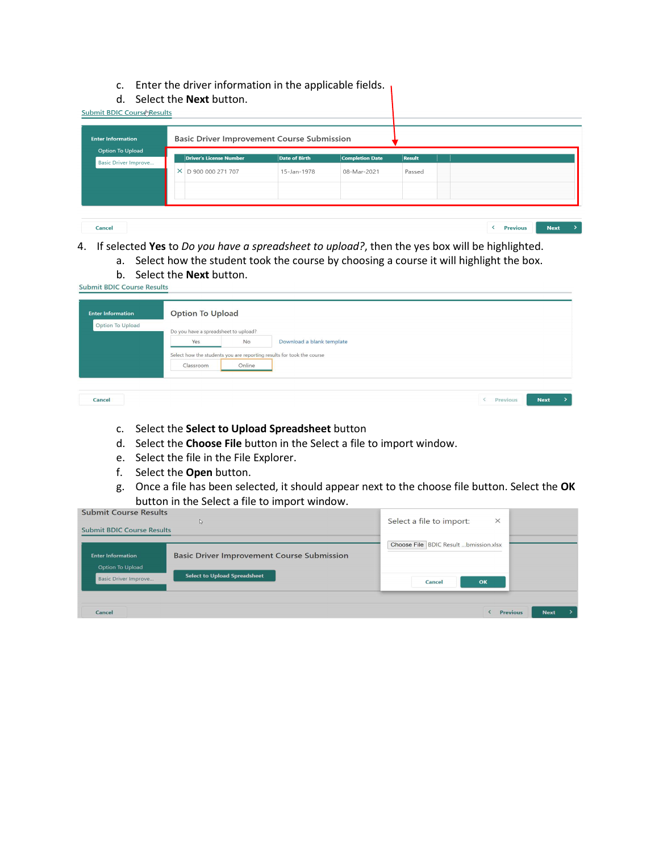- c. Enter the driver information in the applicable fields.
- d. Select the **Next** button.

| <b>Enter Information</b><br><b>Option To Upload</b> | <b>Basic Driver Improvement Course Submission</b> |               |                        |               |  |
|-----------------------------------------------------|---------------------------------------------------|---------------|------------------------|---------------|--|
| Basic Driver Improve                                | <b>Driver's License Number</b>                    | Date of Birth | <b>Completion Date</b> | <b>Result</b> |  |
|                                                     | × D 900 000 271 707                               | 15-Jan-1978   | 08-Mar-2021            | Passed        |  |
|                                                     |                                                   |               |                        |               |  |
|                                                     |                                                   |               |                        |               |  |

**Cancel** 

Cancel

4. If selected **Yes** to *Do you have a spreadsheet to upload?*, then the yes box will be highlighted.

a. Select how the student took the course by choosing a course it will highlight the box.

**b.** Select the **Next** button.<br>Submit BDIC Course Results

| Option To Upload | <b>Option To Upload</b>              |           |                                                                       |
|------------------|--------------------------------------|-----------|-----------------------------------------------------------------------|
|                  | Do you have a spreadsheet to upload? |           |                                                                       |
|                  | Yes                                  | <b>No</b> | Download a blank template                                             |
|                  |                                      |           | Select how the students you are reporting results for took the course |
|                  | Classroom                            | Online    |                                                                       |

| c. Select the Select to Upload Spreadsheet button |
|---------------------------------------------------|
|                                                   |

- d. Select the **Choose File** button in the Select a file to import window.
- e. Select the file in the File Explorer.
- f. Select the **Open** button.
- g. Once a file has been selected, it should appear next to the choose file button. Select the **OK**  button in the Select a file to import window.

 $\langle$  Previous

 $Next \rightarrow$ 

| <b>Submit Course Results</b><br><b>Submit BDIC Course Results</b> | r.                                                | Select a file to import:<br>$\times$  |                                |
|-------------------------------------------------------------------|---------------------------------------------------|---------------------------------------|--------------------------------|
| <b>Enter Information</b><br>Option To Upload                      | <b>Basic Driver Improvement Course Submission</b> | Choose File BDIC Result bmission.xlsx |                                |
| <b>Basic Driver Improve</b>                                       | <b>Select to Upload Spreadsheet</b>               | Cancel<br>OK                          |                                |
| Cancel                                                            |                                                   |                                       | <b>Next</b><br><b>Previous</b> |